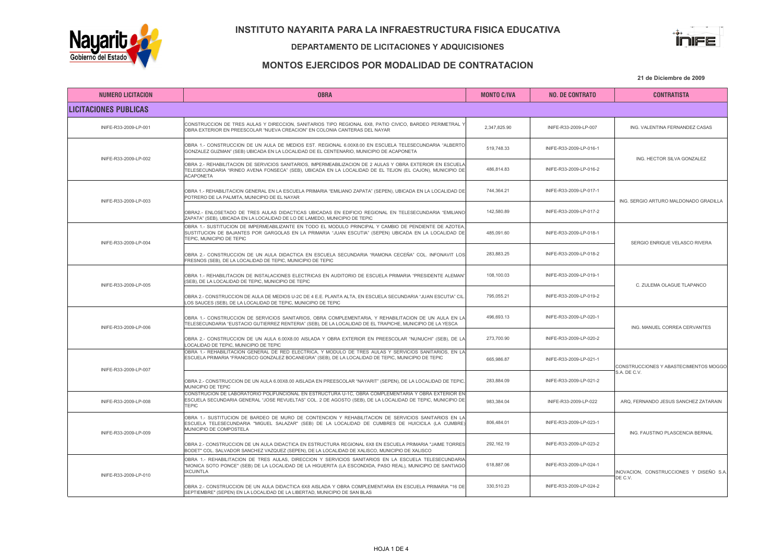

#### DEPARTAMENTO DE LICITACIONES Y ADQUICISIONES



## MONTOS EJERCIDOS POR MODALIDAD DE CONTRATACION

| <b>NUMERO LICITACION</b>     | <b>OBRA</b>                                                                                                                                                                                                                                  | <b>MONTO C/IVA</b> | <b>NO. DE CONTRATO</b>  | <b>CONTRATISTA</b>                                     |
|------------------------------|----------------------------------------------------------------------------------------------------------------------------------------------------------------------------------------------------------------------------------------------|--------------------|-------------------------|--------------------------------------------------------|
| <b>LICITACIONES PUBLICAS</b> |                                                                                                                                                                                                                                              |                    |                         |                                                        |
| INIFE-R33-2009-LP-001        | CONSTRUCCION DE TRES AULAS Y DIRECCION, SANITARIOS TIPO REGIONAL 6X8, PATIO CIVICO, BARDEO PERIMETRAL Y<br>OBRA EXTERIOR EN PREESCOLAR "NUEVA CREACION" EN COLONIA CANTERAS DEL NAYAR                                                        | 2,347,825.90       | INIFE-R33-2009-LP-007   | ING. VALENTINA FERNANDEZ CASAS                         |
| INIFE-R33-2009-LP-002        | OBRA 1.- CONSTRUCCION DE UN AULA DE MEDIOS EST. REGIONAL 6.00X8.00 EN ESCUELA TELESECUNDARIA "ALBERTO<br>GONZALEZ GUZMAN" (SEB) UBICADA EN LA LOCALIDAD DE EL CENTENARIO, MUNICIPIO DE ACAPONETA                                             | 519,748.33         | INIFE-R33-2009-LP-016-1 | ING. HECTOR SILVA GONZALEZ                             |
|                              | OBRA 2.- REHABILITACION DE SERVICIOS SANITARIOS, IMPERMEABILIZACION DE 2 AULAS Y OBRA EXTERIOR EN ESCUELA<br>TELESECUNDARIA "IRINEO AVENA FONSECA" (SEB), UBICADA EN LA LOCALIDAD DE EL TEJON (EL CAJON), MUNICIPIO DE<br><b>ACAPONETA</b>   | 486,814.83         | INIFE-R33-2009-LP-016-2 |                                                        |
| INIFE-R33-2009-LP-003        | OBRA 1.- REHABILITACION GENERAL EN LA ESCUELA PRIMARIA "EMILIANO ZAPATA" (SEPEN), UBICADA EN LA LOCALIDAD DE<br>POTRERO DE LA PALMITA, MUNICIPIO DE EL NAYAR                                                                                 | 744.364.21         | INIFE-R33-2009-LP-017-1 | ING. SERGIO ARTURO MALDONADO GRADILLA                  |
|                              | OBRA2.- ENLOSETADO DE TRES AULAS DIDACTICAS UBICADAS EN EDIFICIO REGIONAL EN TELESECUNDARIA "EMILIANO<br>ZAPATA" (SEB), UBICADA EN LA LOCALIDAD DE LO DE LAMEDO, MUNICIPIO DE TEPIC                                                          | 142.580.89         | INIFE-R33-2009-LP-017-2 |                                                        |
|                              | OBRA 1.- SUSTITUCION DE IMPERMEABILIZANTE EN TODO EL MODULO PRINCIPAL Y CAMBIO DE PENDIENTE DE AZOTEA,<br>SUSTITUCION DE BAJANTES POR GARGOLAS EN LA PRIMARIA "JUAN ESCUTIA" (SEPEN) UBICADA EN LA LOCALIDAD DE<br>TEPIC. MUNICIPIO DE TEPIC | 485,091.60         | INIFE-R33-2009-LP-018-1 | SERGIO ENRIQUE VELASCO RIVERA                          |
| INIFE-R33-2009-LP-004        | OBRA 2.- CONSTRUCCION DE UN AULA DIDACTICA EN ESCUELA SECUNDARIA "RAMONA CECEÑA" COL. INFONAVIT LOS<br>FRESNOS (SEB), DE LA LOCALIDAD DE TEPIC, MUNICIPIO DE TEPIC                                                                           | 283.883.25         | INIFE-R33-2009-LP-018-2 |                                                        |
| INIFE-R33-2009-LP-005        | OBRA 1.- REHABILITACION DE INSTALACIONES ELECTRICAS EN AUDITORIO DE ESCUELA PRIMARIA "PRESIDENTE ALEMAN"<br>(SEB), DE LA LOCALIDAD DE TEPIC, MUNICIPIO DE TEPIC                                                                              | 108,100.03         | INIFE-R33-2009-LP-019-1 | C. ZULEMA OLAGUE TLAPANCO                              |
|                              | OBRA 2.- CONSTRUCCION DE AULA DE MEDIOS U-2C DE 4 E.E. PLANTA ALTA, EN ESCUELA SECUNDARIA "JUAN ESCUTIA" CIL.<br>LOS SAUCES (SEB), DE LA LOCALIDAD DE TEPIC, MUNICIPIO DE TEPIC                                                              | 795,055.21         | INIFE-R33-2009-LP-019-2 |                                                        |
| INIFE-R33-2009-LP-006        | OBRA 1.- CONSTRUCCION DE SERVICIOS SANITARIOS. OBRA COMPLEMENTARIA. Y REHABILITACION DE UN AULA EN LA<br>TELESECUNDARIA "EUSTACIO GUTIERREZ RENTERIA" (SEB), DE LA LOCALIDAD DE EL TRAPICHE, MUNICIPIO DE LA YESCA                           | 496,693.13         | INIFE-R33-2009-LP-020-1 | ING. MANUEL CORREA CERVANTES                           |
|                              | OBRA 2.- CONSTRUCCION DE UN AULA 6.00X8.00 AISLADA Y OBRA EXTERIOR EN PREESCOLAR "NUNUCHI" (SEB), DE LA<br>LOCALIDAD DE TEPIC, MUNICIPIO DE TEPIC                                                                                            | 273,700.90         | INIFE-R33-2009-LP-020-2 |                                                        |
| INIFE-R33-2009-LP-007        | OBRA 1.- REHABILITACION GENERAL DE RED ELECTRICA, Y MODULO DE TRES AULAS Y SERVICIOS SANITARIOS, EN LA<br>ESCUELA PRIMARIA "FRANCISCO GONZALEZ BOCANEGRA" (SEB), DE LA LOCALIDAD DE TEPIC, MUNICIPIO DE TEPIC                                | 665,986.87         | INIFE-R33-2009-LP-021-1 | CONSTRUCCIONES Y ABASTECIMIENTOS MOGGO<br>S.A. DE C.V. |
|                              | OBRA 2.- CONSTRUCCION DE UN AULA 6.00X8.00 AISLADA EN PREESCOLAR "NAYARIT" (SEPEN), DE LA LOCALIDAD DE TEPIC,<br>MUNICIPIO DE TEPIC                                                                                                          | 283,884.09         | INIFE-R33-2009-LP-021-2 |                                                        |
| INIFE-R33-2009-LP-008        | CONSTRUCION DE LABORATORIO POLIFUNCIONAL EN ESTRUCTURA U-1C, OBRA COMPLEMENTARIA Y OBRA EXTERIOR EN<br>ESCUELA SECUNDARIA GENERAL "JOSE REVUELTAS" COL. 2 DE AGOSTO (SEB), DE LA LOCALIDAD DE TEPIC, MUNICIPIO DE<br><b>TEPIC</b>            | 983.384.04         | INIFE-R33-2009-LP-022   | ARQ, FERNANDO JESUS SANCHEZ ZATARAIN                   |
| INIFE-R33-2009-LP-009        | OBRA 1.- SUSTITUCION DE BARDEO DE MURO DE CONTENCION Y REHABILITACION DE SERVICIOS SANITARIOS EN LA<br>ESCUELA TELESECUNDARIA "MIGUEL SALAZAR" (SEB) DE LA LOCALIDAD DE CUMBRES DE HUICICILA (LA CUMBRE)<br>MUNICIPIO DE COMPOSTELA          | 806.484.01         | INIFE-R33-2009-LP-023-1 | ING. FAUSTINO PLASCENCIA BERNAL                        |
|                              | OBRA 2.- CONSTRUCCION DE UN AULA DIDACTICA EN ESTRUCTURA REGIONAL 6X8 EN ESCUELA PRIMARIA "JAIME TORRES<br>BODET" COL. SALVADOR SANCHEZ VAZQUEZ (SEPEN), DE LA LOCALIDAD DE XALISCO, MUNICIPIO DE XALISCO                                    | 292.162.19         | INIFE-R33-2009-LP-023-2 |                                                        |
| INIFE-R33-2009-LP-010        | OBRA 1.- REHABILITACION DE TRES AULAS, DIRECCION Y SERVICIOS SANITARIOS EN LA ESCUELA TELESECUNDARIA<br>"MONICA SOTO PONCE" (SEB) DE LA LOCALIDAD DE LA HIGUERITA (LA ESCONDIDA, PASO REAL), MUNICIPIO DE SANTIAGO<br><b>IXCUINTLA</b>       | 618,887.06         | INIFE-R33-2009-LP-024-1 | INOVACION, CONSTRUCCIONES Y DISEÑO S.A.<br>DE C.V.     |
|                              | OBRA 2.- CONSTRUCCION DE UN AULA DIDACTICA 6X8 AISLADA Y OBRA COMPLEMENTARIA EN ESCUELA PRIMARIA "16 DE<br>SEPTIEMBRE" (SEPEN) EN LA LOCALIDAD DE LA LIBERTAD, MUNICIPIO DE SAN BLAS                                                         | 330,510.23         | INIFE-R33-2009-LP-024-2 |                                                        |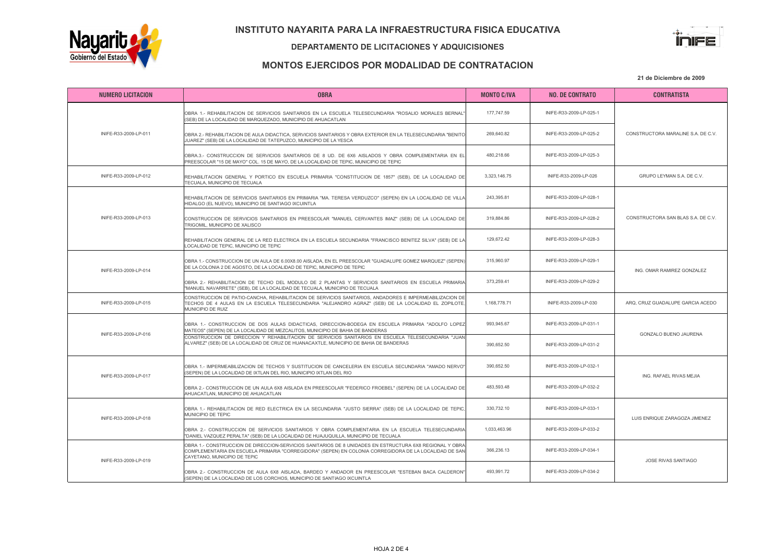



#### DEPARTAMENTO DE LICITACIONES Y ADQUICISIONES

## MONTOS EJERCIDOS POR MODALIDAD DE CONTRATACION

| <b>NUMERO LICITACION</b> | <b>OBRA</b>                                                                                                                                                                                                                                       | <b>MONTO C/IVA</b> | <b>NO. DE CONTRATO</b>  | <b>CONTRATISTA</b>                 |
|--------------------------|---------------------------------------------------------------------------------------------------------------------------------------------------------------------------------------------------------------------------------------------------|--------------------|-------------------------|------------------------------------|
| INIFE-R33-2009-LP-011    | OBRA 1.- REHABILITACION DE SERVICIOS SANITARIOS EN LA ESCUELA TELESECUNDARIA "ROSALIO MORALES BERNAL"<br>(SEB) DE LA LOCALIDAD DE MARQUEZADO, MUNICIPIO DE AHUACATLAN                                                                             | 177,747.59         | INIFE-R33-2009-LP-025-1 |                                    |
|                          | OBRA 2.- REHABILITACION DE AULA DIDACTICA, SERVICIOS SANITARIOS Y OBRA EXTERIOR EN LA TELESECUNDARIA "BENITO<br>JUAREZ" (SEB) DE LA LOCALIDAD DE TATEPUZCO, MUNICIPIO DE LA YESCA                                                                 | 269,640.82         | INIFE-R33-2009-LP-025-2 | CONSTRUCTORA MARALINE S.A. DE C.V. |
|                          | OBRA.3.- CONSTRUCCION DE SERVICIOS SANITARIOS DE 8 UD. DE 6X6 AISLADOS Y OBRA COMPLEMENTARIA EN EL<br>PREESCOLAR "15 DE MAYO" COL. 15 DE MAYO, DE LA LOCALIDAD DE TEPIC, MUNICIPIO DE TEPIC                                                       | 480.218.66         | INIFE-R33-2009-LP-025-3 |                                    |
| INIFE-R33-2009-LP-012    | REHABILITACION GENERAL Y PORTICO EN ESCUELA PRIMARIA "CONSTITUCION DE 1857" (SEB), DE LA LOCALIDAD DE<br>TECUALA, MUNICIPIO DE TECUALA                                                                                                            | 3,323,146.75       | INIFE-R33-2009-LP-026   | GRUPO LEYMAN S.A. DE C.V.          |
| INIFE-R33-2009-LP-013    | REHABILITACION DE SERVICIOS SANITARIOS EN PRIMARIA "MA. TERESA VERDUZCO" (SEPEN) EN LA LOCALIDAD DE VILLA<br>HIDALGO (EL NUEVO), MUNICIPIO DE SANTIAGO IXCUINTLA                                                                                  | 243.395.81         | INIFE-R33-2009-LP-028-1 |                                    |
|                          | CONSTRUCCION DE SERVICIOS SANITARIOS EN PREESCOLAR "MANUEL CERVANTES IMAZ" (SEB) DE LA LOCALIDAD DE<br>TRIGOMIL. MUNICIPIO DE XALISCO                                                                                                             | 319.884.86         | INIFE-R33-2009-LP-028-2 | CONSTRUCTORA SAN BLAS S.A. DE C.V. |
|                          | REHABILITACION GENERAL DE LA RED ELECTRICA EN LA ESCUELA SECUNDARIA "FRANCISCO BENITEZ SILVA" (SEB) DE LA<br>LOCALIDAD DE TEPIC, MUNICIPIO DE TEPIC                                                                                               | 129,672.42         | INIFE-R33-2009-LP-028-3 |                                    |
| INIFE-R33-2009-LP-014    | OBRA 1.- CONSTRUCCION DE UN AULA DE 6.00X8.00 AISLADA, EN EL PREESCOLAR "GUADALUPE GOMEZ MARQUEZ" (SEPEN)<br>DE LA COLONIA 2 DE AGOSTO, DE LA LOCALIDAD DE TEPIC, MUNICIPIO DE TEPIC                                                              | 315,960.97         | INIFE-R33-2009-LP-029-1 | ING. OMAR RAMIREZ GONZALEZ         |
|                          | OBRA 2.- REHABILITACION DE TECHO DEL MODULO DE 2 PLANTAS Y SERVICIOS SANITARIOS EN ESCUELA PRIMARIA<br>"MANUEL NAVARRETE" (SEB), DE LA LOCALIDAD DE TECUALA, MUNICIPIO DE TECUALA                                                                 | 373,259.41         | INIFE-R33-2009-LP-029-2 |                                    |
| INIFE-R33-2009-LP-015    | CONSTRUCCION DE PATIO-CANCHA, REHABILITACION DE SERVICIOS SANITARIOS, ANDADORES E IMPERMEABILIZACION DE<br>TECHOS DE 4 AULAS EN LA ESCUELA TELESECUNDARIA "ALEJANDRO AGRAZ" (SEB) DE LA LOCALIDAD EL ZOPILOTE<br>MUNICIPIO DE RUIZ                | 1,168,778.71       | INIFE-R33-2009-LP-030   | ARQ, CRUZ GUADALUPE GARCIA ACEDO   |
| INIFE-R33-2009-LP-016    | OBRA 1.- CONSTRUCCION DE DOS AULAS DIDACTICAS, DIRECCION-BODEGA EN ESCUELA PRIMARIA "ADOLFO LOPEZ<br>MATEOS" (SEPEN) DE LA LOCALIDAD DE MEZCALITOS, MUNICIPIO DE BAHIA DE BANDERAS                                                                | 993,945.67         | INIFE-R33-2009-LP-031-1 | GONZALO BUENO JAURENA              |
|                          | CONSTRUCCION DE DIRECCION Y REHABILITACION DE SERVICIOS SANITARIOS EN ESCUELA TELESECUNDARIA "JUAN<br>ALVAREZ" (SEB) DE LA LOCALIDAD DE CRUZ DE HUANACAXTLE, MUNICIPIO DE BAHIA DE BANDERAS                                                       | 390,652.50         | INIFE-R33-2009-LP-031-2 |                                    |
| INIFE-R33-2009-LP-017    | OBRA 1.- IMPERMEABILIZACION DE TECHOS Y SUSTITUCION DE CANCELERIA EN ESCUELA SECUNDARIA "AMADO NERVO"<br>(SEPEN) DE LA LOCALIDAD DE IXTLAN DEL RIO, MUNICIPIO IXTLAN DEL RIO                                                                      | 390,652.50         | INIFE-R33-2009-LP-032-1 | ING. RAFAEL RIVAS MEJIA            |
|                          | OBRA 2.- CONSTRUCCION DE UN AULA 6X8 AISLADA EN PREESCOLAR "FEDERICO FROEBEL" (SEPEN) DE LA LOCALIDAD DE<br>AHUACATLAN, MUNICIPIO DE AHUACATLAN                                                                                                   | 483,593.48         | INIFE-R33-2009-LP-032-2 |                                    |
| INIFE-R33-2009-LP-018    | OBRA 1.- REHABILITACION DE RED ELECTRICA EN LA SECUNDARIA "JUSTO SIERRA" (SEB) DE LA LOCALIDAD DE TEPIC.<br>MUNICIPIO DE TEPIC                                                                                                                    | 330,732.10         | INIFE-R33-2009-LP-033-1 | LUIS ENRIQUE ZARAGOZA JIMENEZ      |
|                          | OBRA 2.- CONSTRUCCION DE SERVICIOS SANITARIOS Y OBRA COMPLEMENTARIA EN LA ESCUELA TELESECUNDARIA<br>"DANIEL VAZQUEZ PERALTA" (SEB) DE LA LOCALIDAD DE HUAJUQUILLA, MUNICIPIO DE TECUALA                                                           | 1.033.463.96       | INIFE-R33-2009-LP-033-2 |                                    |
| INIFE-R33-2009-LP-019    | OBRA 1.- CONSTRUCCION DE DIRECCION-SERVICIOS SANITARIOS DE 8 UNIDADES EN ESTRUCTURA 6X8 REGIONAL Y OBRA<br>COMPLEMENTARIA EN ESCUELA PRIMARIA "CORREGIDORA" (SEPEN) EN COLONIA CORREGIDORA DE LA LOCALIDAD DE SAN<br>CAYETANO, MUNICIPIO DE TEPIC | 366,236.13         | INIFE-R33-2009-LP-034-1 | JOSE RIVAS SANTIAGO                |
|                          | OBRA 2.- CONSTRUCCION DE AULA 6X8 AISLADA, BARDEO Y ANDADOR EN PREESCOLAR "ESTEBAN BACA CALDERON"<br>(SEPEN) DE LA LOCALIDAD DE LOS CORCHOS, MUNICIPIO DE SANTIAGO IXCUINTLA                                                                      | 493.991.72         | INIFE-R33-2009-LP-034-2 |                                    |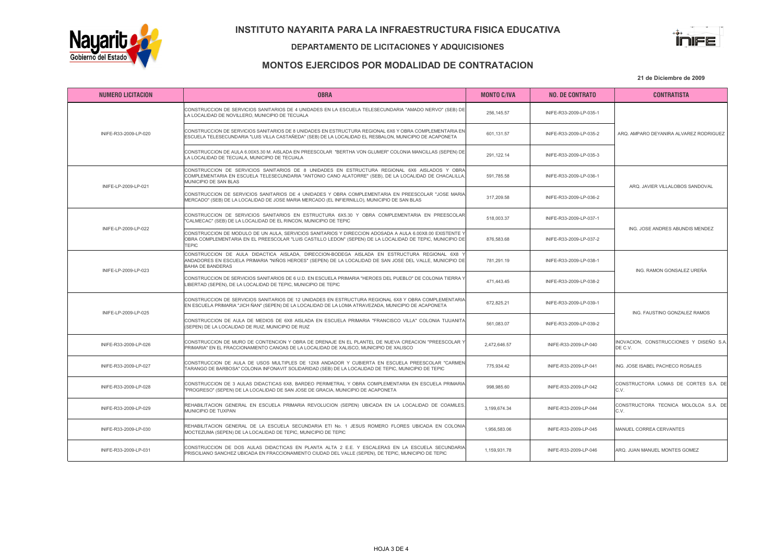

#### DEPARTAMENTO DE LICITACIONES Y ADQUICISIONES



## MONTOS EJERCIDOS POR MODALIDAD DE CONTRATACION

| <b>NUMERO LICITACION</b> | <b>OBRA</b>                                                                                                                                                                                                                           | <b>MONTO C/IVA</b> | <b>NO. DE CONTRATO</b>  | <b>CONTRATISTA</b>                                 |
|--------------------------|---------------------------------------------------------------------------------------------------------------------------------------------------------------------------------------------------------------------------------------|--------------------|-------------------------|----------------------------------------------------|
| INIFE-R33-2009-LP-020    | CONSTRUCCION DE SERVICIOS SANITARIOS DE 4 UNIDADES EN LA ESCUELA TELESECUNDARIA "AMADO NERVO" (SEB) DE<br>LA LOCALIDAD DE NOVILLERO, MUNICIPIO DE TECUALA                                                                             | 256,145.57         | INIFE-R33-2009-LP-035-1 |                                                    |
|                          | CONSTRUCCION DE SERVICIOS SANITARIOS DE 8 UNIDADES EN ESTRUCTURA REGIONAL 6X6 Y OBRA COMPLEMENTARIA EN<br>ESCUELA TELESECUNDARIA "LUIS VILLA CASTAÑEDA" (SEB) DE LA LOCALIDAD EL RESBALON. MUNICIPIO DE ACAPONETA                     | 601,131.57         | INIFE-R33-2009-LP-035-2 | ARQ. AMPARO DEYANIRA ALVAREZ RODRIGUEZ             |
|                          | CONSTRUCCION DE AULA 6.00X5.30 M. AISLADA EN PREESCOLAR "BERTHA VON GLUMER" COLONIA MANCILLAS (SEPEN) DE<br>LA LOCALIDAD DE TECUALA, MUNICIPIO DE TECUALA                                                                             | 291,122.14         | INIFE-R33-2009-LP-035-3 |                                                    |
| INIFE-LP-2009-LP-021     | CONSTRUCCION DE SERVICIOS SANITARIOS DE 8 UNIDADES EN ESTRUCTURA REGIONAL 6X6 AISLADOS Y OBRA<br>COMPLEMENTARIA EN ESCUELA TELESECUNDARIA "ANTONIO CANO ALATORRE" (SEB), DE LA LOCALIDAD DE CHACALILLA,<br>MUNICIPIO DE SAN BLAS      | 591,785.58         | INIFE-R33-2009-LP-036-1 |                                                    |
|                          | CONSTRUCCION DE SERVICIOS SANITARIOS DE 4 UNIDADES Y OBRA COMPLEMENTARIA EN PREESCOLAR "JOSE MARIA<br>MERCADO" (SEB) DE LA LOCALIDAD DE JOSE MARIA MERCADO (EL INFIERNILLO), MUNICIPIO DE SAN BLAS                                    | 317,209.58         | INIFE-R33-2009-LP-036-2 | ARQ. JAVIER VILLALOBOS SANDOVAL                    |
| INIFE-LP-2009-LP-022     | CONSTRUCCION DE SERVICIOS SANITARIOS EN ESTRUCTURA 6X5.30 Y OBRA COMPLEMENTARIA EN PREESCOLAR<br>"CALMECAC" (SEB) DE LA LOCALIDAD DE EL RINCON, MUNICIPIO DE TEPIC                                                                    | 518,003.37         | INIFE-R33-2009-LP-037-1 |                                                    |
|                          | CONSTRUCCION DE MODULO DE UN AULA, SERVICIOS SANITARIOS Y DIRECCION ADOSADA A AULA 6.00X8.00 EXISTENTE Y<br>OBRA COMPLEMENTARIA EN EL PREESCOLAR "LUIS CASTILLO LEDON" (SEPEN) DE LA LOCALIDAD DE TEPIC, MUNICIPIO DE<br><b>TEPIC</b> | 876,583,68         | INIFE-R33-2009-LP-037-2 | ING. JOSE ANDRES ABUNDIS MENDEZ                    |
| INIFE-LP-2009-LP-023     | CONSTRUCCION DE AULA DIDACTICA AISLADA, DIRECCION-BODEGA AISLADA EN ESTRUCTURA REGIONAL 6X8<br>ANDADORES EN ESCUELA PRIMARIA "NIÑOS HEROES" (SEPEN) DE LA LOCALIDAD DE SAN JOSE DEL VALLE, MUNICIPIO DE<br><b>BAHIA DE BANDERAS</b>   | 781.291.19         | INIFE-R33-2009-LP-038-1 | ING. RAMON GONSALEZ UREÑA                          |
|                          | CONSTRUCCION DE SERVICIOS SANITARIOS DE 6 U.D. EN ESCUELA PRIMARIA "HEROES DEL PUEBLO" DE COLONIA TIERRA Y<br>LIBERTAD (SEPEN), DE LA LOCALIDAD DE TEPIC, MUNICIPIO DE TEPIC                                                          | 471.443.45         | INIFE-R33-2009-LP-038-2 |                                                    |
| INIFE-LP-2009-LP-025     | CONSTRUCCION DE SERVICIOS SANITARIOS DE 12 UNIDADES EN ESTRUCTURA REGIONAL 6X8 Y OBRA COMPLEMENTARIA<br>EN ESCUELA PRIMARIA "JICH ÑAN" (SEPEN) DE LA LOCALIDAD DE LA LOMA ATRAVEZADA, MUNICIPIO DE ACAPONETA                          | 672,825.21         | INIFE-R33-2009-LP-039-1 | ING. FAUSTINO GONZALEZ RAMOS                       |
|                          | CONSTRUCCION DE AULA DE MEDIOS DE 6X8 AISLADA EN ESCUELA PRIMARIA "FRANCISCO VILLA" COLONIA TIJUANITA<br>(SEPEN) DE LA LOCALIDAD DE RUIZ, MUNICIPIO DE RUIZ                                                                           | 561,083.07         | INIFE-R33-2009-LP-039-2 |                                                    |
| INIFE-R33-2009-LP-026    | CONSTRUCCION DE MURO DE CONTENCION Y OBRA DE DRENAJE EN EL PLANTEL DE NUEVA CREACION "PREESCOLAR Y<br>PRIMARIA" EN EL FRACCIONAMIENTO CANOAS DE LA LOCALIDAD DE XALISCO, MUNICIPIO DE XALISCO                                         | 2,472,646.57       | INIFE-R33-2009-LP-040   | INOVACION. CONSTRUCCIONES Y DISEÑO S.A.<br>DE C.V. |
| INIFE-R33-2009-LP-027    | CONSTRUCCION DE AULA DE USOS MULTIPLES DE 12X8 ANDADOR Y CUBIERTA EN ESCUELA PREESCOLAR "CARMEN<br>TARANGO DE BARBOSA" COLONIA INFONAVIT SOLIDARIDAD (SEB) DE LA LOCALIDAD DE TEPIC, MUNICIPIO DE TEPIC                               | 775.934.42         | INIFE-R33-2009-LP-041   | ING. JOSE ISABEL PACHECO ROSALES                   |
| INIFE-R33-2009-LP-028    | CONSTRUCCION DE 3 AULAS DIDACTICAS 6X8, BARDEO PERIMETRAL Y OBRA COMPLEMENTARIA EN ESCUELA PRIMARIA<br>"PROGRESO" (SEPEN) DE LA LOCALIDAD DE SAN JOSE DE GRACIA, MUNICIPIO DE ACAPONETA                                               | 998.985.60         | INIFE-R33-2009-LP-042   | CONSTRUCTORA LOMAS DE CORTES S.A. DE<br>C.V        |
| INIFE-R33-2009-LP-029    | REHABILITACION GENERAL EN ESCUELA PRIMARIA REVOLUCION (SEPEN) UBICADA EN LA LOCALIDAD DE COAMILES,<br>MUNICIPIO DE TUXPAN                                                                                                             | 3.199.674.34       | INIFE-R33-2009-LP-044   | CONSTRUCTORA TECNICA MOLOLOA S.A. DE<br>C.V.       |
| INIFE-R33-2009-LP-030    | REHABILITACION GENERAL DE LA ESCUELA SECUNDARIA ETI No. 1 JESUS ROMERO FLORES UBICADA EN COLONIA<br>MOCTEZUMA (SEPEN) DE LA LOCALIDAD DE TEPIC, MUNICIPIO DE TEPIC                                                                    | 1.956.583.06       | INIFE-R33-2009-LP-045   | MANUEL CORREA CERVANTES                            |
| INIFE-R33-2009-LP-031    | CONSTRUCCION DE DOS AULAS DIDACTICAS EN PLANTA ALTA 2 E.E. Y ESCALERAS EN LA ESCUELA SECUNDARIA<br>PRISCILIANO SANCHEZ UBICADA EN FRACCIONAMIENTO CIUDAD DEL VALLE (SEPEN), DE TEPIC, MUNICIPIO DE TEPIC                              | 1.159.931.78       | INIFE-R33-2009-LP-046   | ARQ. JUAN MANUEL MONTES GOMEZ                      |